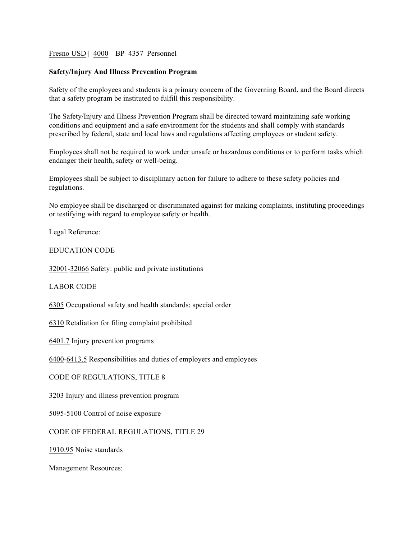### Fresno USD | 4000 | BP 4357 Personnel

#### **Safety/Injury And Illness Prevention Program**

Safety of the employees and students is a primary concern of the Governing Board, and the Board directs that a safety program be instituted to fulfill this responsibility.

The Safety/Injury and Illness Prevention Program shall be directed toward maintaining safe working conditions and equipment and a safe environment for the students and shall comply with standards prescribed by federal, state and local laws and regulations affecting employees or student safety.

Employees shall not be required to work under unsafe or hazardous conditions or to perform tasks which endanger their health, safety or well-being.

Employees shall be subject to disciplinary action for failure to adhere to these safety policies and regulations.

No employee shall be discharged or discriminated against for making complaints, instituting proceedings or testifying with regard to employee safety or health.

Legal Reference:

### EDUCATION CODE

32001-32066 Safety: public and private institutions

LABOR CODE

6305 Occupational safety and health standards; special order

6310 Retaliation for filing complaint prohibited

6401.7 Injury prevention programs

6400-6413.5 Responsibilities and duties of employers and employees

CODE OF REGULATIONS, TITLE 8

3203 Injury and illness prevention program

5095-5100 Control of noise exposure

CODE OF FEDERAL REGULATIONS, TITLE 29

1910.95 Noise standards

Management Resources: